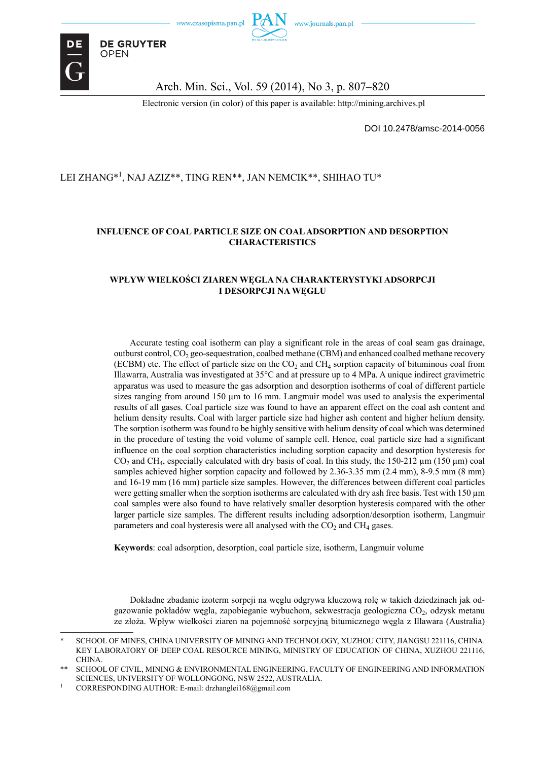

**DE GRUYTER** 

**OPEN** 

Arch. Min. Sci., Vol. 59 (2014), No 3, p. 807–820

Electronic version (in color) of this paper is available: http://mining.archives.pl

DOI 10.2478/amsc-2014-0056

#### LEI ZHANG\*<sup>1</sup> , NAJ AZIZ\*\*, TING REN\*\*, JAN NEMCIK\*\*, SHIHAO TU\*

#### **INFLUENCE OF COAL PARTICLE SIZE ON COAL ADSORPTION AND DESORPTION CHARACTERISTICS**

#### **WPŁYW WIELKOŚCI ZIAREN WĘGLA NA CHARAKTERYSTYKI ADSORPCJI I DESORPCJI NA WĘGLU**

Accurate testing coal isotherm can play a significant role in the areas of coal seam gas drainage, outburst control,  $CO<sub>2</sub>$  geo-sequestration, coalbed methane (CBM) and enhanced coalbed methane recovery (ECBM) etc. The effect of particle size on the  $CO<sub>2</sub>$  and  $CH<sub>4</sub>$  sorption capacity of bituminous coal from Illawarra, Australia was investigated at 35°C and at pressure up to 4 MPa. A unique indirect gravimetric apparatus was used to measure the gas adsorption and desorption isotherms of coal of different particle sizes ranging from around  $150 \mu m$  to  $16 \mu m$ . Langmuir model was used to analysis the experimental results of all gases. Coal particle size was found to have an apparent effect on the coal ash content and helium density results. Coal with larger particle size had higher ash content and higher helium density. The sorption isotherm was found to be highly sensitive with helium density of coal which was determined in the procedure of testing the void volume of sample cell. Hence, coal particle size had a significant influence on the coal sorption characteristics including sorption capacity and desorption hysteresis for CO<sub>2</sub> and CH<sub>4</sub>, especially calculated with dry basis of coal. In this study, the 150-212  $\mu$ m (150  $\mu$ m) coal samples achieved higher sorption capacity and followed by 2.36-3.35 mm (2.4 mm), 8-9.5 mm (8 mm) and 16-19 mm (16 mm) particle size samples. However, the differences between different coal particles were getting smaller when the sorption isotherms are calculated with dry ash free basis. Test with 150 μm coal samples were also found to have relatively smaller desorption hysteresis compared with the other larger particle size samples. The different results including adsorption/desorption isotherm, Langmuir parameters and coal hysteresis were all analysed with the  $CO<sub>2</sub>$  and  $CH<sub>4</sub>$  gases.

**Keywords**: coal adsorption, desorption, coal particle size, isotherm, Langmuir volume

Dokładne zbadanie izoterm sorpcji na węglu odgrywa kluczową rolę w takich dziedzinach jak odgazowanie pokładów węgla, zapobieganie wybuchom, sekwestracja geologiczna CO<sub>2</sub>, odzysk metanu ze złoża. Wpływ wielkości ziaren na pojemność sorpcyjną bitumicznego węgla z Illawara (Australia)

SCHOOL OF MINES, CHINA UNIVERSITY OF MINING AND TECHNOLOGY, XUZHOU CITY, JIANGSU 221116, CHINA. KEY LABORATORY OF DEEP COAL RESOURCE MINING, MINISTRY OF EDUCATION OF CHINA, XUZHOU 221116, **CHINA** 

SCHOOL OF CIVIL, MINING & ENVIRONMENTAL ENGINEERING, FACULTY OF ENGINEERING AND INFORMATION SCIENCES, UNIVERSITY OF WOLLONGONG, NSW 2522, AUSTRALIA.

<sup>1</sup> CORRESPONDING AUTHOR: E-mail: drzhanglei168@gmail.com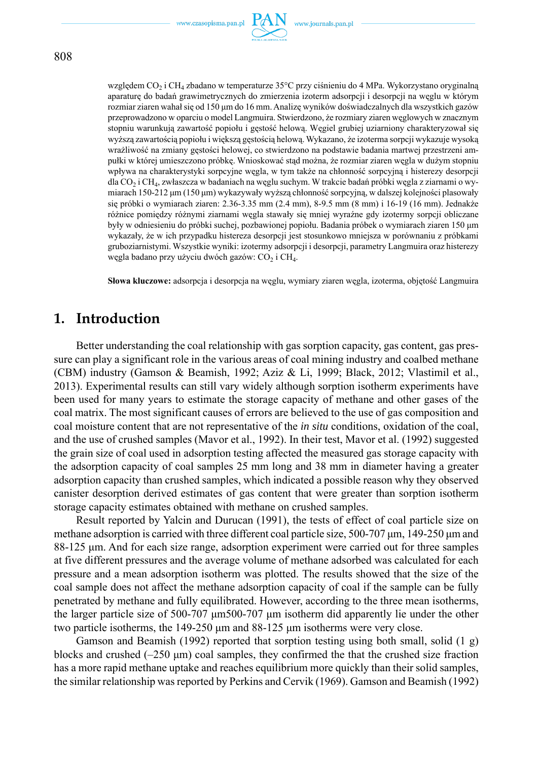

względem CO<sub>2</sub> i CH<sub>4</sub> zbadano w temperaturze 35°C przy ciśnieniu do 4 MPa. Wykorzystano oryginalną aparaturę do badań grawimetrycznych do zmierzenia izoterm adsorpcji i desorpcji na węglu w którym rozmiar ziaren wahał się od 150 μm do 16 mm. Analizę wyników doświadczalnych dla wszystkich gazów przeprowadzono w oparciu o model Langmuira. Stwierdzono, że rozmiary ziaren węglowych w znacznym stopniu warunkują zawartość popiołu i gęstość helową. Węgiel grubiej uziarniony charakteryzował się wyższą zawartością popiołu i większą gęstością helową. Wykazano, że izoterma sorpcji wykazuje wysoką wrażliwość na zmiany gęstości helowej, co stwierdzono na podstawie badania martwej przestrzeni ampułki w której umieszczono próbkę. Wnioskować stąd można, że rozmiar ziaren węgla w dużym stopniu wpływa na charakterystyki sorpcyjne węgla, w tym także na chłonność sorpcyjną i histerezy desorpcji dla CO<sub>2</sub> i CH<sub>4</sub>, zwłaszcza w badaniach na węglu suchym. W trakcie badań próbki węgla z ziarnami o wymiarach 150-212 μm (150 μm) wykazywały wyższą chłonność sorpcyjną, w dalszej kolejności plasowały się próbki o wymiarach ziaren: 2.36-3.35 mm (2.4 mm), 8-9.5 mm (8 mm) i 16-19 (16 mm). Jednakże

różnice pomiędzy różnymi ziarnami węgla stawały się mniej wyraźne gdy izotermy sorpcji obliczane były w odniesieniu do próbki suchej, pozbawionej popiołu. Badania próbek o wymiarach ziaren 150 μm wykazały, że w ich przypadku histereza desorpcji jest stosunkowo mniejsza w porównaniu z próbkami gruboziarnistymi. Wszystkie wyniki: izotermy adsorpcji i desorpcji, parametry Langmuira oraz histerezy węgla badano przy użyciu dwóch gazów: CO<sub>2</sub> i CH<sub>4</sub>.

**Słowa kluczowe:** adsorpcja i desorpcja na węglu, wymiary ziaren węgla, izoterma, objętość Langmuira

### **1. Introduction**

Better understanding the coal relationship with gas sorption capacity, gas content, gas pressure can play a significant role in the various areas of coal mining industry and coalbed methane (CBM) industry (Gamson & Beamish, 1992; Aziz & Li, 1999; Black, 2012; Vlastimil et al., 2013). Experimental results can still vary widely although sorption isotherm experiments have been used for many years to estimate the storage capacity of methane and other gases of the coal matrix. The most significant causes of errors are believed to the use of gas composition and coal moisture content that are not representative of the *in situ* conditions, oxidation of the coal, and the use of crushed samples (Mavor et al., 1992). In their test, Mavor et al. (1992) suggested the grain size of coal used in adsorption testing affected the measured gas storage capacity with the adsorption capacity of coal samples 25 mm long and 38 mm in diameter having a greater adsorption capacity than crushed samples, which indicated a possible reason why they observed canister desorption derived estimates of gas content that were greater than sorption isotherm storage capacity estimates obtained with methane on crushed samples.

Result reported by Yalcin and Durucan (1991), the tests of effect of coal particle size on methane adsorption is carried with three different coal particle size, 500-707 μm, 149-250 μm and 88-125 μm. And for each size range, adsorption experiment were carried out for three samples at five different pressures and the average volume of methane adsorbed was calculated for each pressure and a mean adsorption isotherm was plotted. The results showed that the size of the coal sample does not affect the methane adsorption capacity of coal if the sample can be fully penetrated by methane and fully equilibrated. However, according to the three mean isotherms, the larger particle size of 500-707 μm500-707 μm isotherm did apparently lie under the other two particle isotherms, the 149-250 μm and 88-125 μm isotherms were very close.

Gamson and Beamish (1992) reported that sorption testing using both small, solid (1 g) blocks and crushed  $(-250 \text{ µm})$  coal samples, they confirmed the that the crushed size fraction has a more rapid methane uptake and reaches equilibrium more quickly than their solid samples, the similar relationship was reported by Perkins and Cervik (1969). Gamson and Beamish (1992)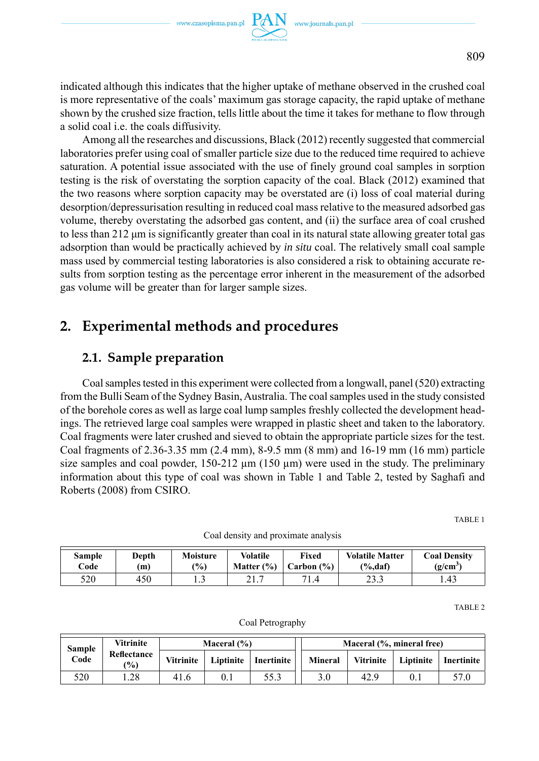indicated although this indicates that the higher uptake of methane observed in the crushed coal is more representative of the coals' maximum gas storage capacity, the rapid uptake of methane shown by the crushed size fraction, tells little about the time it takes for methane to flow through a solid coal i.e. the coals diffusivity.

Among all the researches and discussions, Black (2012) recently suggested that commercial laboratories prefer using coal of smaller particle size due to the reduced time required to achieve saturation. A potential issue associated with the use of finely ground coal samples in sorption testing is the risk of overstating the sorption capacity of the coal. Black (2012) examined that the two reasons where sorption capacity may be overstated are (i) loss of coal material during desorption/depressurisation resulting in reduced coal mass relative to the measured adsorbed gas volume, thereby overstating the adsorbed gas content, and (ii) the surface area of coal crushed to less than 212 μm is significantly greater than coal in its natural state allowing greater total gas adsorption than would be practically achieved by *in situ* coal. The relatively small coal sample mass used by commercial testing laboratories is also considered a risk to obtaining accurate results from sorption testing as the percentage error inherent in the measurement of the adsorbed gas volume will be greater than for larger sample sizes.

## **2. Experimental methods and procedures**

### **2.1. Sample preparation**

Coal samples tested in this experiment were collected from a longwall, panel (520) extracting from the Bulli Seam of the Sydney Basin, Australia. The coal samples used in the study consisted of the borehole cores as well as large coal lump samples freshly collected the development headings. The retrieved large coal samples were wrapped in plastic sheet and taken to the laboratory. Coal fragments were later crushed and sieved to obtain the appropriate particle sizes for the test. Coal fragments of 2.36-3.35 mm (2.4 mm), 8-9.5 mm (8 mm) and 16-19 mm (16 mm) particle size samples and coal powder, 150-212 μm (150 μm) were used in the study. The preliminary information about this type of coal was shown in Table 1 and Table 2, tested by Saghafi and Roberts (2008) from CSIRO.

TABLE 1

| <b>Sample</b><br>Code | Depth<br>m | <b>Moisture</b><br>$\frac{10}{6}$ | <b>Volatile</b><br>Matter $(\% )$ | Fixed<br>Carbon $(\%)$ | <b>Volatile Matter</b><br>$\frac{\%}{\text{daf}}$ | <b>Coal Density</b><br>(g/cm <sup>3</sup> ) |
|-----------------------|------------|-----------------------------------|-----------------------------------|------------------------|---------------------------------------------------|---------------------------------------------|
| 520                   | 450        | .                                 | 41.                               | 71.4                   | าว ว<br>د. د ۲                                    | 1.43                                        |

Coal density and proximate analysis

TABLE 2

| Sample<br>Code | Vitrinite                    | Maceral $(\% )$  |  |                        | Maceral (%, mineral free) |           |           |                |
|----------------|------------------------------|------------------|--|------------------------|---------------------------|-----------|-----------|----------------|
|                | Reflectance<br>$\frac{1}{2}$ | <b>Vitrinite</b> |  | Liptinite   Inertinite | Mineral                   | Vitrinite | Liptinite | l Inertinite l |
| 520            | .28                          | 41.6             |  | 55.3                   | 3.0                       | 42.9      | 0.1       | 57.0           |

Coal Petrography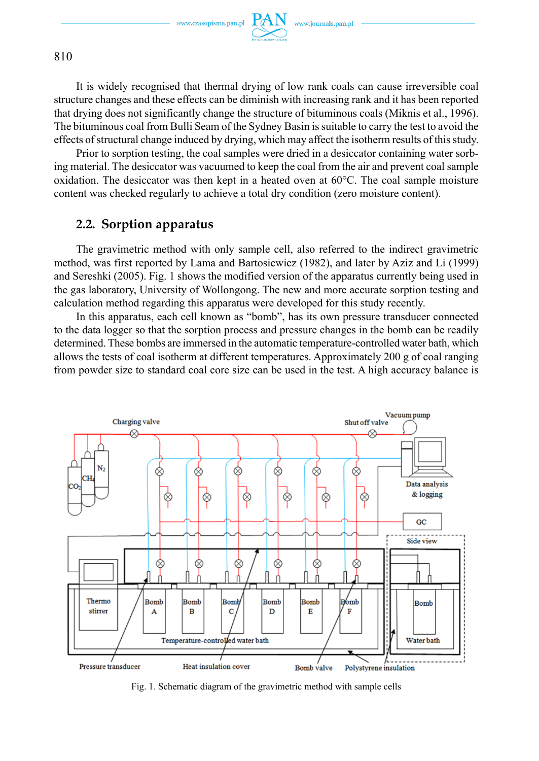

It is widely recognised that thermal drying of low rank coals can cause irreversible coal structure changes and these effects can be diminish with increasing rank and it has been reported that drying does not significantly change the structure of bituminous coals (Miknis et al., 1996). The bituminous coal from Bulli Seam of the Sydney Basin is suitable to carry the test to avoid the effects of structural change induced by drying, which may affect the isotherm results of this study.

Prior to sorption testing, the coal samples were dried in a desiccator containing water sorbing material. The desiccator was vacuumed to keep the coal from the air and prevent coal sample oxidation. The desiccator was then kept in a heated oven at 60°C. The coal sample moisture content was checked regularly to achieve a total dry condition (zero moisture content).

### **2.2. Sorption apparatus**

The gravimetric method with only sample cell, also referred to the indirect gravimetric method, was first reported by Lama and Bartosiewicz (1982), and later by Aziz and Li (1999) and Sereshki (2005). Fig. 1 shows the modified version of the apparatus currently being used in the gas laboratory, University of Wollongong. The new and more accurate sorption testing and calculation method regarding this apparatus were developed for this study recently.

In this apparatus, each cell known as "bomb", has its own pressure transducer connected to the data logger so that the sorption process and pressure changes in the bomb can be readily determined. These bombs are immersed in the automatic temperature-controlled water bath, which allows the tests of coal isotherm at different temperatures. Approximately 200 g of coal ranging from powder size to standard coal core size can be used in the test. A high accuracy balance is



Fig. 1. Schematic diagram of the gravimetric method with sample cells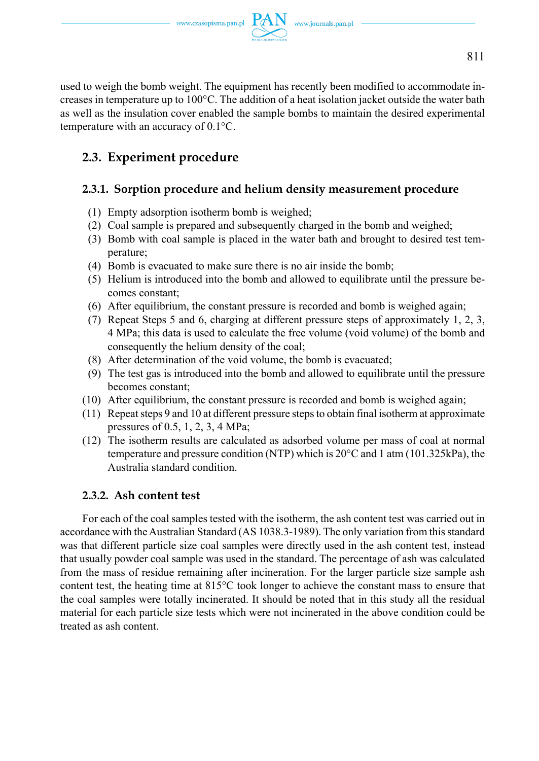

used to weigh the bomb weight. The equipment has recently been modified to accommodate increases in temperature up to 100°C. The addition of a heat isolation jacket outside the water bath as well as the insulation cover enabled the sample bombs to maintain the desired experimental temperature with an accuracy of 0.1°C.

# **2.3. Experiment procedure**

## **2.3.1. Sorption procedure and helium density measurement procedure**

- (1) Empty adsorption isotherm bomb is weighed;
- (2) Coal sample is prepared and subsequently charged in the bomb and weighed;
- (3) Bomb with coal sample is placed in the water bath and brought to desired test temperature;
- (4) Bomb is evacuated to make sure there is no air inside the bomb;
- (5) Helium is introduced into the bomb and allowed to equilibrate until the pressure becomes constant;
- (6) After equilibrium, the constant pressure is recorded and bomb is weighed again;
- (7) Repeat Steps 5 and 6, charging at different pressure steps of approximately 1, 2, 3, 4 MPa; this data is used to calculate the free volume (void volume) of the bomb and consequently the helium density of the coal;
- (8) After determination of the void volume, the bomb is evacuated;
- (9) The test gas is introduced into the bomb and allowed to equilibrate until the pressure becomes constant;
- (10) After equilibrium, the constant pressure is recorded and bomb is weighed again;
- (11) Repeat steps 9 and 10 at different pressure steps to obtain final isotherm at approximate pressures of 0.5, 1, 2, 3, 4 MPa;
- (12) The isotherm results are calculated as adsorbed volume per mass of coal at normal temperature and pressure condition (NTP) which is 20°C and 1 atm (101.325kPa), the Australia standard condition.

### **2.3.2. Ash content test**

For each of the coal samples tested with the isotherm, the ash content test was carried out in accordance with the Australian Standard (AS 1038.3-1989). The only variation from this standard was that different particle size coal samples were directly used in the ash content test, instead that usually powder coal sample was used in the standard. The percentage of ash was calculated from the mass of residue remaining after incineration. For the larger particle size sample ash content test, the heating time at 815°C took longer to achieve the constant mass to ensure that the coal samples were totally incinerated. It should be noted that in this study all the residual material for each particle size tests which were not incinerated in the above condition could be treated as ash content.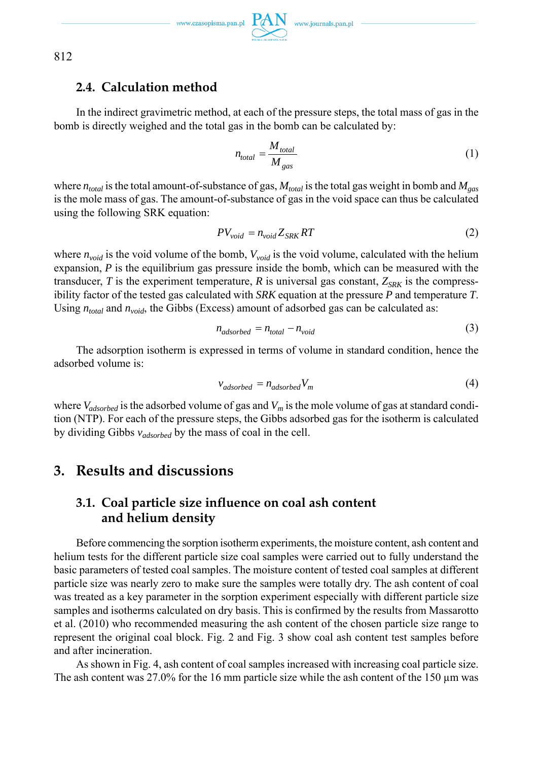### **2.4. Calculation method**

In the indirect gravimetric method, at each of the pressure steps, the total mass of gas in the bomb is directly weighed and the total gas in the bomb can be calculated by:

$$
n_{total} = \frac{M_{total}}{M_{gas}} \tag{1}
$$

where  $n_{total}$  is the total amount-of-substance of gas,  $M_{total}$  is the total gas weight in bomb and  $M_{gas}$ is the mole mass of gas. The amount-of-substance of gas in the void space can thus be calculated using the following SRK equation:

$$
PV_{void} = n_{void} Z_{SRK} RT
$$
 (2)

where  $n_{void}$  is the void volume of the bomb,  $V_{void}$  is the void volume, calculated with the helium expansion, *P* is the equilibrium gas pressure inside the bomb, which can be measured with the transducer, *T* is the experiment temperature, *R* is universal gas constant,  $Z_{SRK}$  is the compressibility factor of the tested gas calculated with *SRK* equation at the pressure *P* and temperature *T*. Using  $n_{total}$  and  $n_{void}$ , the Gibbs (Excess) amount of adsorbed gas can be calculated as:

$$
n_{adsorbed} = n_{total} - n_{void} \tag{3}
$$

The adsorption isotherm is expressed in terms of volume in standard condition, hence the adsorbed volume is:

$$
v_{adsorbed} = n_{adsorbed} V_m
$$
\n(4)

where  $V_{adsorbed}$  is the adsorbed volume of gas and  $V_m$  is the mole volume of gas at standard condition (NTP). For each of the pressure steps, the Gibbs adsorbed gas for the isotherm is calculated by dividing Gibbs *vadsorbed* by the mass of coal in the cell.

## **3. Results and discussions**

## **3.1. Coal particle size influence on coal ash content and helium density**

Before commencing the sorption isotherm experiments, the moisture content, ash content and helium tests for the different particle size coal samples were carried out to fully understand the basic parameters of tested coal samples. The moisture content of tested coal samples at different particle size was nearly zero to make sure the samples were totally dry. The ash content of coal was treated as a key parameter in the sorption experiment especially with different particle size samples and isotherms calculated on dry basis. This is confirmed by the results from Massarotto et al. (2010) who recommended measuring the ash content of the chosen particle size range to represent the original coal block. Fig. 2 and Fig. 3 show coal ash content test samples before and after incineration.

As shown in Fig. 4, ash content of coal samples increased with increasing coal particle size. The ash content was 27.0% for the 16 mm particle size while the ash content of the 150 μm was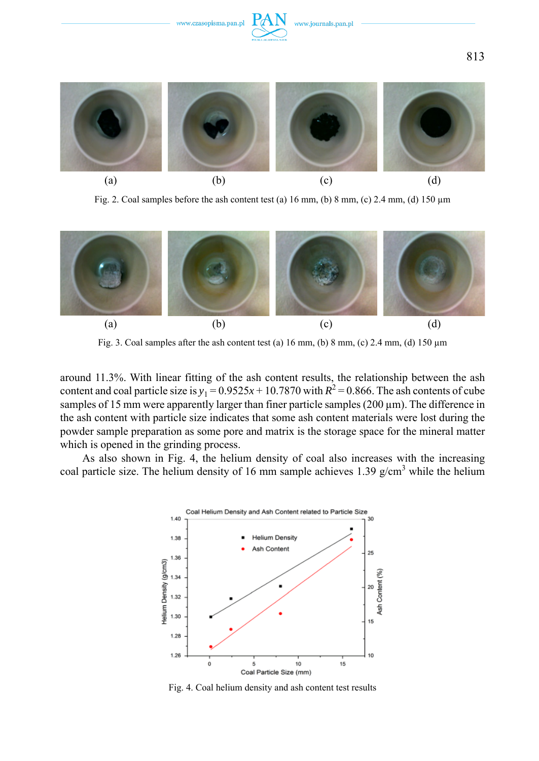

Fig. 2. Coal samples before the ash content test (a)  $16 \text{ mm}$ , (b)  $8 \text{ mm}$ , (c)  $2.4 \text{ mm}$ , (d)  $150 \text{ µm}$ 



Fig. 3. Coal samples after the ash content test (a)  $16$  mm, (b)  $8$  mm, (c)  $2.4$  mm, (d)  $150 \mu m$ 

around 11.3%. With linear fitting of the ash content results, the relationship between the ash content and coal particle size is  $y_1 = 0.9525x + 10.7870$  with  $R^2 = 0.866$ . The ash contents of cube samples of 15 mm were apparently larger than finer particle samples  $(200 \,\mu m)$ . The difference in the ash content with particle size indicates that some ash content materials were lost during the powder sample preparation as some pore and matrix is the storage space for the mineral matter which is opened in the grinding process.

As also shown in Fig. 4, the helium density of coal also increases with the increasing coal particle size. The helium density of 16 mm sample achieves 1.39  $g/cm<sup>3</sup>$  while the helium



Fig. 4. Coal helium density and ash content test results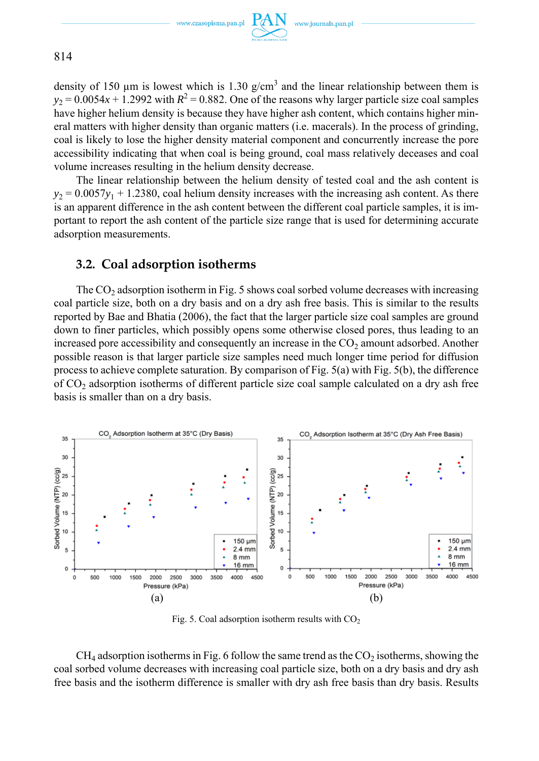

814

density of 150  $\mu$ m is lowest which is 1.30 g/cm<sup>3</sup> and the linear relationship between them is  $y_2 = 0.0054x + 1.2992$  with  $R^2 = 0.882$ . One of the reasons why larger particle size coal samples have higher helium density is because they have higher ash content, which contains higher mineral matters with higher density than organic matters (i.e. macerals). In the process of grinding, coal is likely to lose the higher density material component and concurrently increase the pore accessibility indicating that when coal is being ground, coal mass relatively deceases and coal volume increases resulting in the helium density decrease.

The linear relationship between the helium density of tested coal and the ash content is  $y_2 = 0.0057y_1 + 1.2380$ , coal helium density increases with the increasing ash content. As there is an apparent difference in the ash content between the different coal particle samples, it is important to report the ash content of the particle size range that is used for determining accurate adsorption measurements.

### **3.2. Coal adsorption isotherms**

The  $CO<sub>2</sub>$  adsorption isotherm in Fig. 5 shows coal sorbed volume decreases with increasing coal particle size, both on a dry basis and on a dry ash free basis. This is similar to the results reported by Bae and Bhatia (2006), the fact that the larger particle size coal samples are ground down to finer particles, which possibly opens some otherwise closed pores, thus leading to an increased pore accessibility and consequently an increase in the  $CO<sub>2</sub>$  amount adsorbed. Another possible reason is that larger particle size samples need much longer time period for diffusion process to achieve complete saturation. By comparison of Fig. 5(a) with Fig. 5(b), the difference of CO2 adsorption isotherms of different particle size coal sample calculated on a dry ash free basis is smaller than on a dry basis.



Fig. 5. Coal adsorption isotherm results with  $CO<sub>2</sub>$ 

 $CH<sub>4</sub>$  adsorption isotherms in Fig. 6 follow the same trend as the  $CO<sub>2</sub>$  isotherms, showing the coal sorbed volume decreases with increasing coal particle size, both on a dry basis and dry ash free basis and the isotherm difference is smaller with dry ash free basis than dry basis. Results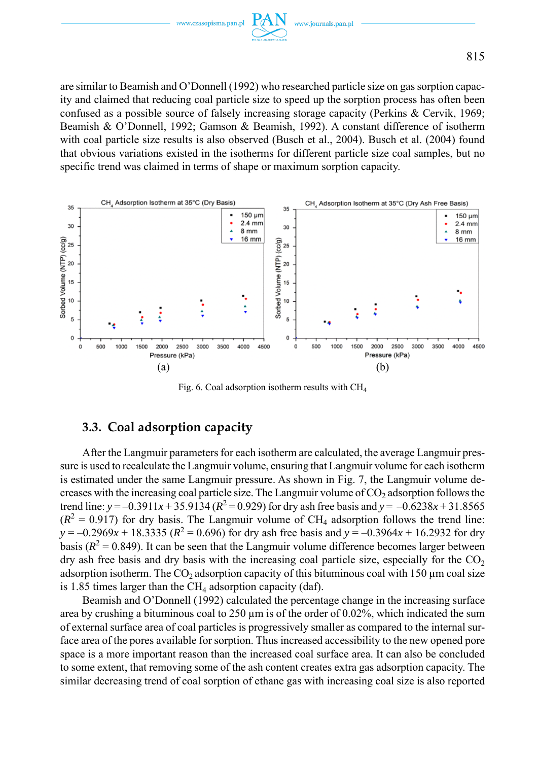

are similar to Beamish and O'Donnell (1992) who researched particle size on gas sorption capacity and claimed that reducing coal particle size to speed up the sorption process has often been confused as a possible source of falsely increasing storage capacity (Perkins & Cervik, 1969; Beamish & O'Donnell, 1992; Gamson & Beamish, 1992). A constant difference of isotherm with coal particle size results is also observed (Busch et al., 2004). Busch et al. (2004) found that obvious variations existed in the isotherms for different particle size coal samples, but no specific trend was claimed in terms of shape or maximum sorption capacity.



Fig. 6. Coal adsorption isotherm results with CH4

### **3.3. Coal adsorption capacity**

After the Langmuir parameters for each isotherm are calculated, the average Langmuir pressure is used to recalculate the Langmuir volume, ensuring that Langmuir volume for each isotherm is estimated under the same Langmuir pressure. As shown in Fig. 7, the Langmuir volume decreases with the increasing coal particle size. The Langmuir volume of  $CO<sub>2</sub>$  adsorption follows the trend line:  $y = -0.3911x + 35.9134 (R^2 = 0.929)$  for dry ash free basis and  $y = -0.6238x + 31.8565$  $(R<sup>2</sup> = 0.917)$  for dry basis. The Langmuir volume of CH<sub>4</sub> adsorption follows the trend line:  $y = -0.2969x + 18.3335$  ( $R^2 = 0.696$ ) for dry ash free basis and  $y = -0.3964x + 16.2932$  for dry basis ( $R^2$  = 0.849). It can be seen that the Langmuir volume difference becomes larger between dry ash free basis and dry basis with the increasing coal particle size, especially for the  $CO<sub>2</sub>$ adsorption isotherm. The CO<sub>2</sub> adsorption capacity of this bituminous coal with 150  $\mu$ m coal size is 1.85 times larger than the  $CH<sub>4</sub>$  adsorption capacity (daf).

Beamish and O'Donnell (1992) calculated the percentage change in the increasing surface area by crushing a bituminous coal to  $250 \mu m$  is of the order of 0.02%, which indicated the sum of external surface area of coal particles is progressively smaller as compared to the internal surface area of the pores available for sorption. Thus increased accessibility to the new opened pore space is a more important reason than the increased coal surface area. It can also be concluded to some extent, that removing some of the ash content creates extra gas adsorption capacity. The similar decreasing trend of coal sorption of ethane gas with increasing coal size is also reported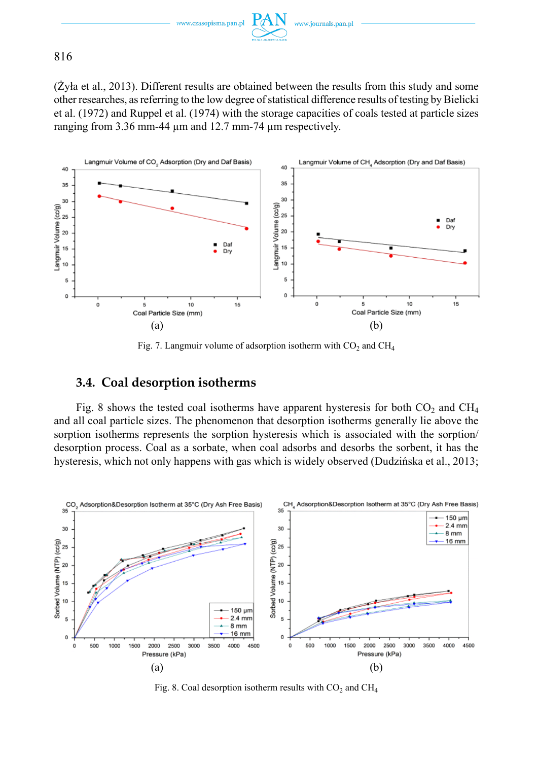

(Żyła et al., 2013). Different results are obtained between the results from this study and some other researches, as referring to the low degree of statistical difference results of testing by Bielicki et al. (1972) and Ruppel et al. (1974) with the storage capacities of coals tested at particle sizes ranging from 3.36 mm-44 μm and 12.7 mm-74 μm respectively.



Fig. 7. Langmuir volume of adsorption isotherm with  $CO<sub>2</sub>$  and  $CH<sub>4</sub>$ 

### **3.4. Coal desorption isotherms**

Fig. 8 shows the tested coal isotherms have apparent hysteresis for both  $CO<sub>2</sub>$  and  $CH<sub>4</sub>$ and all coal particle sizes. The phenomenon that desorption isotherms generally lie above the sorption isotherms represents the sorption hysteresis which is associated with the sorption/ desorption process. Coal as a sorbate, when coal adsorbs and desorbs the sorbent, it has the hysteresis, which not only happens with gas which is widely observed (Dudzińska et al., 2013;



Fig. 8. Coal desorption isotherm results with  $CO<sub>2</sub>$  and  $CH<sub>4</sub>$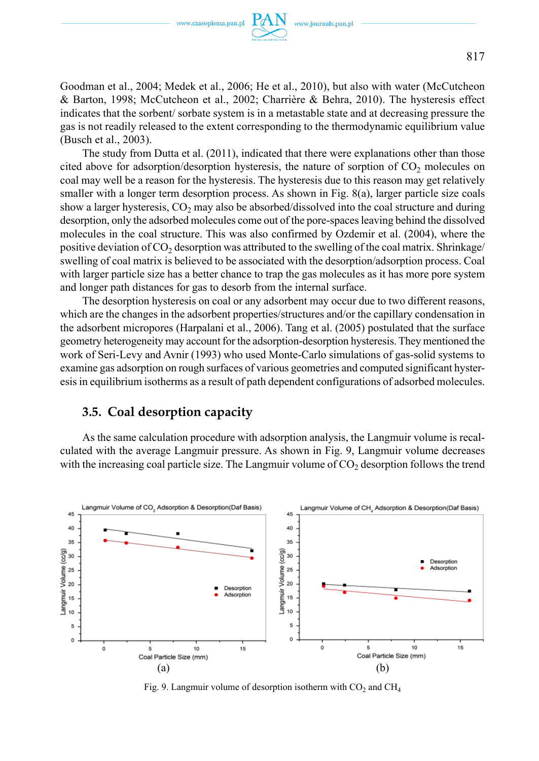Goodman et al., 2004; Medek et al., 2006; He et al., 2010), but also with water (McCutcheon & Barton, 1998; McCutcheon et al., 2002; Charrière & Behra, 2010). The hysteresis effect indicates that the sorbent/ sorbate system is in a metastable state and at decreasing pressure the gas is not readily released to the extent corresponding to the thermodynamic equilibrium value (Busch et al., 2003).

The study from Dutta et al. (2011), indicated that there were explanations other than those cited above for adsorption/desorption hysteresis, the nature of sorption of  $CO<sub>2</sub>$  molecules on coal may well be a reason for the hysteresis. The hysteresis due to this reason may get relatively smaller with a longer term desorption process. As shown in Fig. 8(a), larger particle size coals show a larger hysteresis,  $CO<sub>2</sub>$  may also be absorbed/dissolved into the coal structure and during desorption, only the adsorbed molecules come out of the pore-spaces leaving behind the dissolved molecules in the coal structure. This was also confirmed by Ozdemir et al. (2004), where the positive deviation of  $CO<sub>2</sub>$  desorption was attributed to the swelling of the coal matrix. Shrinkage/ swelling of coal matrix is believed to be associated with the desorption/adsorption process. Coal with larger particle size has a better chance to trap the gas molecules as it has more pore system and longer path distances for gas to desorb from the internal surface.

The desorption hysteresis on coal or any adsorbent may occur due to two different reasons, which are the changes in the adsorbent properties/structures and/or the capillary condensation in the adsorbent micropores (Harpalani et al., 2006). Tang et al. (2005) postulated that the surface geometry heterogeneity may account for the adsorption-desorption hysteresis. They mentioned the work of Seri-Levy and Avnir (1993) who used Monte-Carlo simulations of gas-solid systems to examine gas adsorption on rough surfaces of various geometries and computed significant hysteresis in equilibrium isotherms as a result of path dependent configurations of adsorbed molecules.

### **3.5. Coal desorption capacity**

As the same calculation procedure with adsorption analysis, the Langmuir volume is recalculated with the average Langmuir pressure. As shown in Fig. 9, Langmuir volume decreases with the increasing coal particle size. The Langmuir volume of  $CO<sub>2</sub>$  desorption follows the trend



Fig. 9. Langmuir volume of desorption isotherm with  $CO<sub>2</sub>$  and  $CH<sub>4</sub>$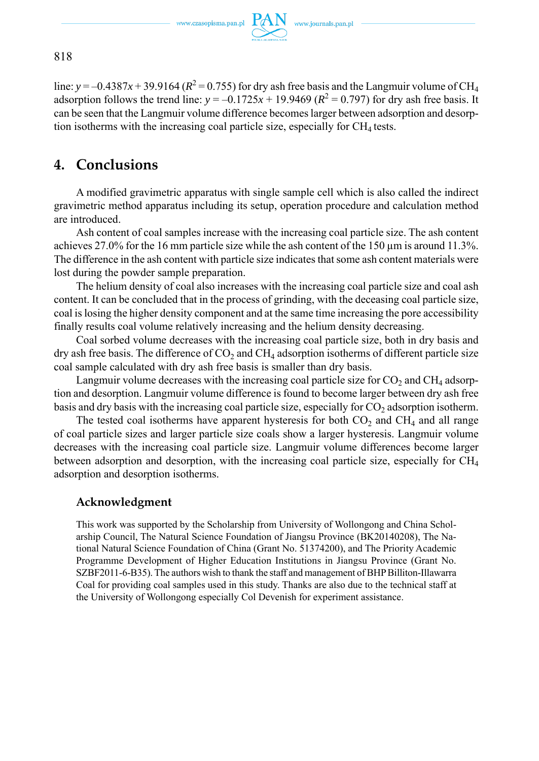

line:  $y = -0.4387x + 39.9164 (R^2 = 0.755)$  for dry ash free basis and the Langmuir volume of CH<sub>4</sub> adsorption follows the trend line:  $y = -0.1725x + 19.9469$  ( $R^2 = 0.797$ ) for dry ash free basis. It can be seen that the Langmuir volume difference becomes larger between adsorption and desorption isotherms with the increasing coal particle size, especially for  $CH<sub>4</sub>$  tests.

# **4. Conclusions**

A modified gravimetric apparatus with single sample cell which is also called the indirect gravimetric method apparatus including its setup, operation procedure and calculation method are introduced.

Ash content of coal samples increase with the increasing coal particle size. The ash content achieves 27.0% for the 16 mm particle size while the ash content of the 150 μm is around 11.3%. The difference in the ash content with particle size indicates that some ash content materials were lost during the powder sample preparation.

The helium density of coal also increases with the increasing coal particle size and coal ash content. It can be concluded that in the process of grinding, with the deceasing coal particle size, coal is losing the higher density component and at the same time increasing the pore accessibility finally results coal volume relatively increasing and the helium density decreasing.

Coal sorbed volume decreases with the increasing coal particle size, both in dry basis and dry ash free basis. The difference of  $CO<sub>2</sub>$  and  $CH<sub>4</sub>$  adsorption isotherms of different particle size coal sample calculated with dry ash free basis is smaller than dry basis.

Langmuir volume decreases with the increasing coal particle size for  $CO<sub>2</sub>$  and  $CH<sub>4</sub>$  adsorption and desorption. Langmuir volume difference is found to become larger between dry ash free basis and dry basis with the increasing coal particle size, especially for  $CO<sub>2</sub>$  adsorption isotherm.

The tested coal isotherms have apparent hysteresis for both  $CO<sub>2</sub>$  and  $CH<sub>4</sub>$  and all range of coal particle sizes and larger particle size coals show a larger hysteresis. Langmuir volume decreases with the increasing coal particle size. Langmuir volume differences become larger between adsorption and desorption, with the increasing coal particle size, especially for  $CH<sub>4</sub>$ adsorption and desorption isotherms.

### **Acknowledgment**

This work was supported by the Scholarship from University of Wollongong and China Scholarship Council, The Natural Science Foundation of Jiangsu Province (BK20140208), The National Natural Science Foundation of China (Grant No. 51374200), and The Priority Academic Programme Development of Higher Education Institutions in Jiangsu Province (Grant No. SZBF2011-6-B35). The authors wish to thank the staff and management of BHP Billiton-Illawarra Coal for providing coal samples used in this study. Thanks are also due to the technical staff at the University of Wollongong especially Col Devenish for experiment assistance.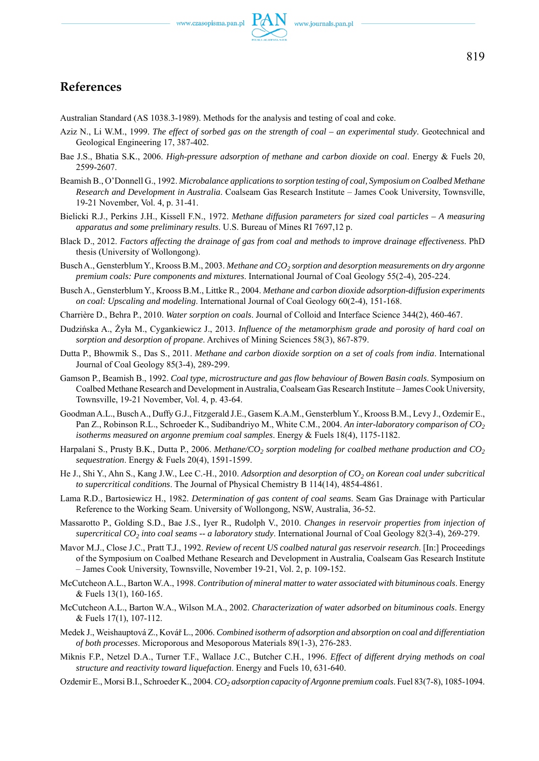### **References**

Australian Standard (AS 1038.3-1989). Methods for the analysis and testing of coal and coke.

- Aziz N., Li W.M., 1999. *The effect of sorbed gas on the strength of coal an experimental study*. Geotechnical and Geological Engineering 17, 387-402.
- Bae J.S., Bhatia S.K., 2006. *High-pressure adsorption of methane and carbon dioxide on coal*. Energy & Fuels 20, 2599-2607.
- Beamish B., O'Donnell G., 1992. *Microbalance applications to sorption testing of coal, Symposium on Coalbed Methane Research and Development in Australia*. Coalseam Gas Research Institute – James Cook University, Townsville, 19-21 November, Vol. 4, p. 31-41.
- Bielicki R.J., Perkins J.H., Kissell F.N., 1972. *Methane diffusion parameters for sized coal particles A measuring apparatus and some preliminary results*. U.S. Bureau of Mines RI 7697,12 p.
- Black D., 2012. *Factors affecting the drainage of gas from coal and methods to improve drainage effectiveness*. PhD thesis (University of Wollongong).
- Busch A., Gensterblum Y., Krooss B.M., 2003. *Methane and CO2 sorption and desorption measurements on dry argonne premium coals: Pure components and mixtures*. International Journal of Coal Geology 55(2-4), 205-224.
- Busch A., Gensterblum Y., Krooss B.M., Littke R., 2004. *Methane and carbon dioxide adsorption-diffusion experiments on coal: Upscaling and modeling*. International Journal of Coal Geology 60(2-4), 151-168.
- Charrière D., Behra P., 2010. *Water sorption on coals*. Journal of Colloid and Interface Science 344(2), 460-467.
- Dudzińska A., Żyła M., Cygankiewicz J., 2013. *Influence of the metamorphism grade and porosity of hard coal on sorption and desorption of propane*. Archives of Mining Sciences 58(3), 867-879.
- Dutta P., Bhowmik S., Das S., 2011. *Methane and carbon dioxide sorption on a set of coals from india*. International Journal of Coal Geology 85(3-4), 289-299.
- Gamson P., Beamish B., 1992. *Coal type, microstructure and gas flow behaviour of Bowen Basin coals*. Symposium on Coalbed Methane Research and Development in Australia, Coalseam Gas Research Institute – James Cook University, Townsville, 19-21 November, Vol. 4, p. 43-64.
- Goodman A.L., Busch A., Duffy G.J., Fitzgerald J.E., Gasem K.A.M., Gensterblum Y., Krooss B.M., Levy J., Ozdemir E., Pan Z., Robinson R.L., Schroeder K., Sudibandriyo M., White C.M., 2004. An inter-laboratory comparison of CO<sub>2</sub> *isotherms measured on argonne premium coal samples*. Energy & Fuels 18(4), 1175-1182.
- Harpalani S., Prusty B.K., Dutta P., 2006. *Methane/CO<sub>2</sub> sorption modeling for coalbed methane production and CO<sub>2</sub> sequestration*. Energy & Fuels 20(4), 1591-1599.
- He J., Shi Y., Ahn S., Kang J.W., Lee C.-H., 2010. *Adsorption and desorption of CO<sub>2</sub> on Korean coal under subcritical to supercritical conditions*. The Journal of Physical Chemistry B 114(14), 4854-4861.
- Lama R.D., Bartosiewicz H., 1982. *Determination of gas content of coal seams*. Seam Gas Drainage with Particular Reference to the Working Seam. University of Wollongong, NSW, Australia, 36-52.
- Massarotto P., Golding S.D., Bae J.S., Iyer R., Rudolph V., 2010. *Changes in reservoir properties from injection of supercritical CO2 into coal seams -- a laboratory study*. International Journal of Coal Geology 82(3-4), 269-279.
- Mavor M.J., Close J.C., Pratt T.J., 1992. *Review of recent US coalbed natural gas reservoir research*. [In:] Proceedings of the Symposium on Coalbed Methane Research and Development in Australia, Coalseam Gas Research Institute – James Cook University, Townsville, November 19-21, Vol. 2, p. 109-152.
- McCutcheon A.L., Barton W.A., 1998. *Contribution of mineral matter to water associated with bituminous coals*. Energy & Fuels 13(1), 160-165.
- McCutcheon A.L., Barton W.A., Wilson M.A., 2002. *Characterization of water adsorbed on bituminous coals*. Energy & Fuels 17(1), 107-112.
- Medek J., Weishauptová Z., Kovář L., 2006. *Combined isotherm of adsorption and absorption on coal and differentiation of both processes*. Microporous and Mesoporous Materials 89(1-3), 276-283.
- Miknis F.P., Netzel D.A., Turner T.F., Wallace J.C., Butcher C.H., 1996. *Effect of different drying methods on coal structure and reactivity toward liquefaction*. Energy and Fuels 10, 631-640.
- Ozdemir E., Morsi B.I., Schroeder K., 2004. *CO2 adsorption capacity of Argonne premium coals*. Fuel 83(7-8), 1085-1094.